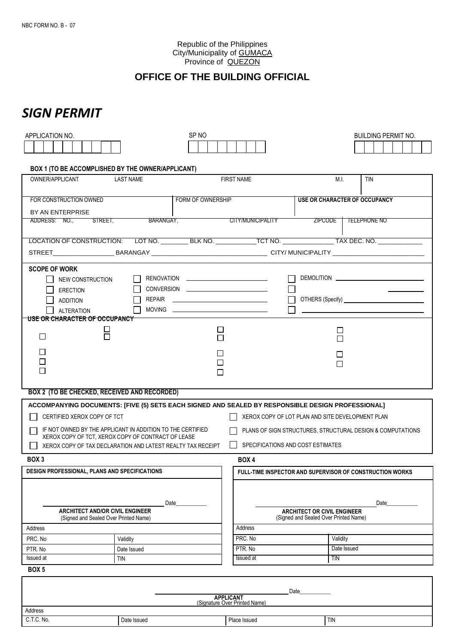Republic of the Philippines City/Municipality of GUMACA Province of **QUEZON** 

## **OFFICE OF THE BUILDING OFFICIAL**

## *SIGN PERMIT*

| APPLICATION NO.                                                                                                                                                                |                  | SP NO                                                          |                                                                             | <b>BUILDING PERMIT NO.</b> |  |  |  |  |  |
|--------------------------------------------------------------------------------------------------------------------------------------------------------------------------------|------------------|----------------------------------------------------------------|-----------------------------------------------------------------------------|----------------------------|--|--|--|--|--|
|                                                                                                                                                                                |                  |                                                                |                                                                             |                            |  |  |  |  |  |
|                                                                                                                                                                                |                  |                                                                |                                                                             |                            |  |  |  |  |  |
| BOX 1 (TO BE ACCOMPLISHED BY THE OWNER/APPLICANT)                                                                                                                              |                  |                                                                |                                                                             |                            |  |  |  |  |  |
| OWNER/APPLICANT                                                                                                                                                                | <b>LAST NAME</b> | <b>FIRST NAME</b>                                              | M.I.                                                                        | <b>TIN</b>                 |  |  |  |  |  |
|                                                                                                                                                                                |                  |                                                                |                                                                             |                            |  |  |  |  |  |
| FOR CONSTRUCTION OWNED                                                                                                                                                         |                  | <b>FORM OF OWNERSHIP</b>                                       | <b>USE OR CHARACTER OF OCCUPANCY</b>                                        |                            |  |  |  |  |  |
| BY AN ENTERPRISE                                                                                                                                                               |                  |                                                                |                                                                             |                            |  |  |  |  |  |
| ADDRESS: NO., STREET,                                                                                                                                                          | BARANGAY,        | CITY/MUNICIPALITY                                              | <b>ZIPCODE</b>                                                              | <b>TELEPHONE NO</b>        |  |  |  |  |  |
|                                                                                                                                                                                |                  |                                                                |                                                                             |                            |  |  |  |  |  |
|                                                                                                                                                                                |                  | LOCATION OF CONSTRUCTION: LOT NO. BLK NO. TCT NO. TAX DEC. NO. |                                                                             |                            |  |  |  |  |  |
|                                                                                                                                                                                |                  |                                                                |                                                                             |                            |  |  |  |  |  |
|                                                                                                                                                                                |                  |                                                                |                                                                             |                            |  |  |  |  |  |
| <b>SCOPE OF WORK</b>                                                                                                                                                           |                  |                                                                |                                                                             |                            |  |  |  |  |  |
| NEW CONSTRUCTION                                                                                                                                                               |                  |                                                                |                                                                             |                            |  |  |  |  |  |
| <b>ERECTION</b>                                                                                                                                                                |                  | CONVERSION <u>___________________________</u>                  |                                                                             |                            |  |  |  |  |  |
| <b>ADDITION</b>                                                                                                                                                                |                  |                                                                |                                                                             |                            |  |  |  |  |  |
| <b>ALTERATION</b>                                                                                                                                                              |                  |                                                                |                                                                             |                            |  |  |  |  |  |
| <u>USE OR CHARACTER OF OCCUPANCY</u>                                                                                                                                           |                  |                                                                |                                                                             |                            |  |  |  |  |  |
|                                                                                                                                                                                |                  | $\Box$                                                         | $\perp$                                                                     |                            |  |  |  |  |  |
| $\Box$                                                                                                                                                                         |                  |                                                                | П                                                                           |                            |  |  |  |  |  |
| П                                                                                                                                                                              |                  |                                                                |                                                                             |                            |  |  |  |  |  |
| П                                                                                                                                                                              |                  |                                                                | П                                                                           |                            |  |  |  |  |  |
| $\Box$                                                                                                                                                                         |                  |                                                                |                                                                             |                            |  |  |  |  |  |
|                                                                                                                                                                                |                  |                                                                |                                                                             |                            |  |  |  |  |  |
| <b>BOX 2 (TO BE CHECKED, RECEIVED AND RECORDED)</b>                                                                                                                            |                  |                                                                |                                                                             |                            |  |  |  |  |  |
|                                                                                                                                                                                |                  |                                                                |                                                                             |                            |  |  |  |  |  |
| ACCOMPANYING DOCUMENTS: [FIVE (5) SETS EACH SIGNED AND SEALED BY RESPONSIBLE DESIGN PROFESSIONAL]                                                                              |                  |                                                                |                                                                             |                            |  |  |  |  |  |
| CERTIFIED XEROX COPY OF TCT<br>XEROX COPY OF LOT PLAN AND SITE DEVELOPMENT PLAN                                                                                                |                  |                                                                |                                                                             |                            |  |  |  |  |  |
| IF NOT OWNED BY THE APPLICANT IN ADDITION TO THE CERTIFIED<br>PLANS OF SIGN STRUCTURES, STRUCTURAL DESIGN & COMPUTATIONS<br>XEROX COPY OF TCT. XEROX COPY OF CONTRACT OF LEASE |                  |                                                                |                                                                             |                            |  |  |  |  |  |
| $\blacksquare$<br>SPECIFICATIONS AND COST ESTIMATES<br>XEROX COPY OF TAX DECLARATION AND LATEST REALTY TAX RECEIPT                                                             |                  |                                                                |                                                                             |                            |  |  |  |  |  |
|                                                                                                                                                                                |                  |                                                                |                                                                             |                            |  |  |  |  |  |
| BOX <sub>3</sub>                                                                                                                                                               |                  | BOX 4                                                          |                                                                             |                            |  |  |  |  |  |
| <b>DESIGN PROFESSIONAL, PLANS AND SPECIFICATIONS</b>                                                                                                                           |                  |                                                                | FULL-TIME INSPECTOR AND SUPERVISOR OF CONSTRUCTION WORKS                    |                            |  |  |  |  |  |
|                                                                                                                                                                                |                  |                                                                |                                                                             |                            |  |  |  |  |  |
|                                                                                                                                                                                |                  |                                                                |                                                                             |                            |  |  |  |  |  |
|                                                                                                                                                                                | Date             |                                                                | Date                                                                        |                            |  |  |  |  |  |
| <b>ARCHITECT AND/OR CIVIL ENGINEER</b><br>(Signed and Sealed Over Printed Name)                                                                                                |                  |                                                                | <b>ARCHITECT OR CIVIL ENGINEER</b><br>(Signed and Sealed Over Printed Name) |                            |  |  |  |  |  |
| Address                                                                                                                                                                        |                  | Address                                                        |                                                                             |                            |  |  |  |  |  |
| PRC. No                                                                                                                                                                        | Validity         | PRC. No                                                        | Validity                                                                    |                            |  |  |  |  |  |
| PTR. No                                                                                                                                                                        | Date Issued      | PTR. No                                                        | Date Issued                                                                 |                            |  |  |  |  |  |
| Issued at                                                                                                                                                                      | <b>TIN</b>       | Issued at                                                      | TIN                                                                         |                            |  |  |  |  |  |
| <b>BOX 5</b>                                                                                                                                                                   |                  |                                                                |                                                                             |                            |  |  |  |  |  |
|                                                                                                                                                                                |                  |                                                                |                                                                             |                            |  |  |  |  |  |
| Date                                                                                                                                                                           |                  |                                                                |                                                                             |                            |  |  |  |  |  |
| <b>APPLICANT</b>                                                                                                                                                               |                  |                                                                |                                                                             |                            |  |  |  |  |  |
| (Signature Over Printed Name)<br>Address                                                                                                                                       |                  |                                                                |                                                                             |                            |  |  |  |  |  |
| C.T.C. No.                                                                                                                                                                     | Date Issued      | Place Issued                                                   | <b>TIN</b>                                                                  |                            |  |  |  |  |  |
|                                                                                                                                                                                |                  |                                                                |                                                                             |                            |  |  |  |  |  |